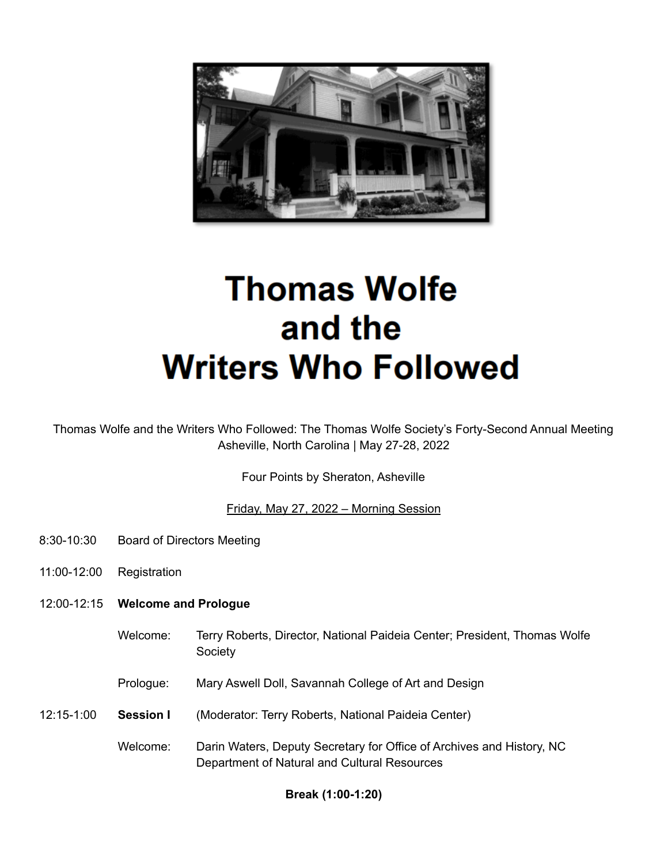

# **Thomas Wolfe** and the **Writers Who Followed**

Thomas Wolfe and the Writers Who Followed: The Thomas Wolfe Society's Forty-Second Annual Meeting Asheville, North Carolina | May 27-28, 2022

Four Points by Sheraton, Asheville

Friday, May 27, 2022 – Morning Session

- 8:30-10:30 Board of Directors Meeting
- 11:00-12:00 Registration
- 12:00-12:15 **Welcome and Prologue**
	- Welcome: Terry Roberts, Director, National Paideia Center; President, Thomas Wolfe **Society**
	- Prologue: Mary Aswell Doll, Savannah College of Art and Design
- 12:15-1:00 **Session I** (Moderator: Terry Roberts, National Paideia Center)
	- Welcome: Darin Waters, Deputy Secretary for Office of Archives and History, NC Department of Natural and Cultural Resources

## **Break (1:00-1:20)**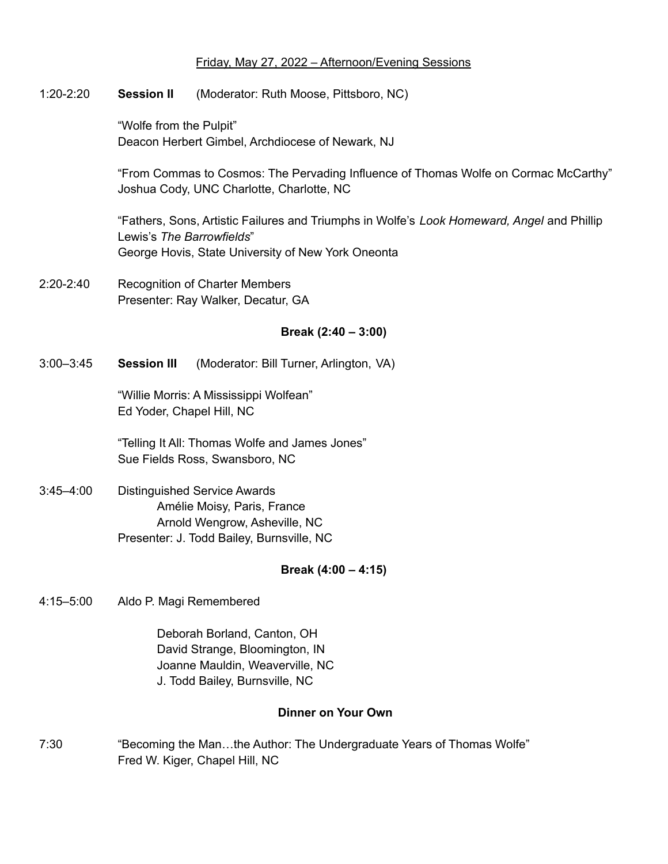## Friday, May 27, 2022 – Afternoon/Evening Sessions

1:20-2:20 **Session II** (Moderator: Ruth Moose, Pittsboro, NC)

"Wolfe from the Pulpit" Deacon Herbert Gimbel, Archdiocese of Newark, NJ

"From Commas to Cosmos: The Pervading Influence of Thomas Wolfe on Cormac McCarthy" Joshua Cody, UNC Charlotte, Charlotte, NC

"Fathers, Sons, Artistic Failures and Triumphs in Wolfe's *Look Homeward, Angel* and Phillip Lewis's *The Barrowfields*" George Hovis, State University of New York Oneonta

2:20-2:40 Recognition of Charter Members Presenter: Ray Walker, Decatur, GA

## **Break (2:40 – 3:00)**

3:00–3:45 **Session III** (Moderator: Bill Turner, Arlington, VA)

"Willie Morris: A Mississippi Wolfean" Ed Yoder, Chapel Hill, NC

"Telling It All: Thomas Wolfe and James Jones" Sue Fields Ross, Swansboro, NC

3:45–4:00 Distinguished Service Awards Amélie Moisy, Paris, France Arnold Wengrow, Asheville, NC Presenter: J. Todd Bailey, Burnsville, NC

## **Break (4:00 – 4:15)**

4:15–5:00 Aldo P. Magi Remembered

Deborah Borland, Canton, OH David Strange, Bloomington, IN Joanne Mauldin, Weaverville, NC J. Todd Bailey, Burnsville, NC

#### **Dinner on Your Own**

7:30 "Becoming the Man…the Author: The Undergraduate Years of Thomas Wolfe" Fred W. Kiger, Chapel Hill, NC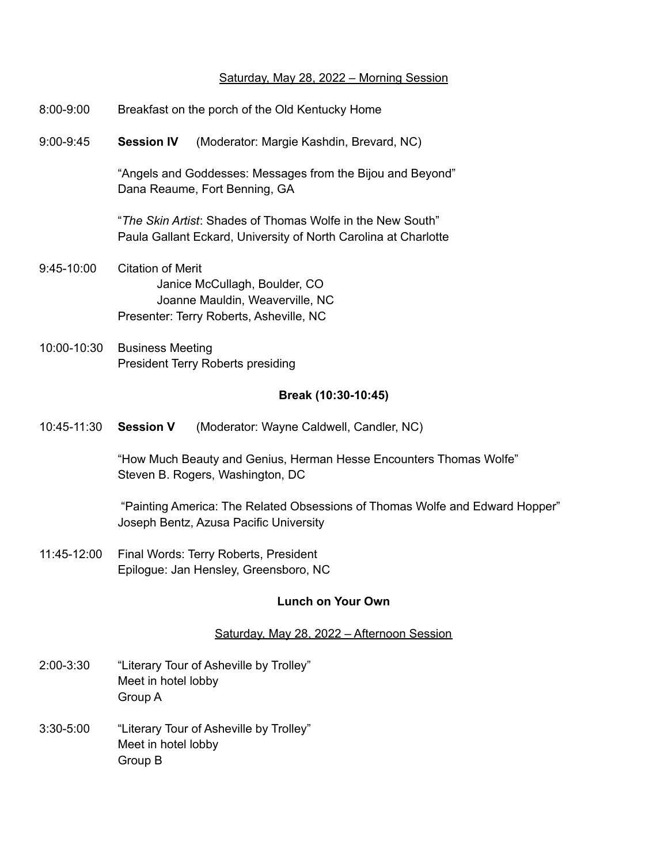## Saturday, May 28, 2022 – Morning Session

| $8:00 - 9:00$ | Breakfast on the porch of the Old Kentucky Home                                                                                  |                                          |
|---------------|----------------------------------------------------------------------------------------------------------------------------------|------------------------------------------|
| $9:00 - 9:45$ | <b>Session IV</b>                                                                                                                | (Moderator: Margie Kashdin, Brevard, NC) |
|               | "Angels and Goddesses: Messages from the Bijou and Beyond"<br>Dana Reaume, Fort Benning, GA                                      |                                          |
|               | "The Skin Artist: Shades of Thomas Wolfe in the New South"<br>Paula Gallant Eckard, University of North Carolina at Charlotte    |                                          |
| $9:45-10:00$  | Citation of Merit<br>Janice McCullagh, Boulder, CO<br>Joanne Mauldin, Weaverville, NC<br>Presenter: Terry Roberts, Asheville, NC |                                          |
| 10:00-10:30   | <b>Business Meeting</b><br><b>President Terry Roberts presiding</b>                                                              |                                          |
|               |                                                                                                                                  | Break (10:30-10:45)                      |
| 10:45-11:30   | <b>Session V</b>                                                                                                                 | (Moderator: Wayne Caldwell, Candler, NC) |
|               | "How Much Beauty and Genius, Herman Hesse Encounters Thomas Wolfe"<br>Steven B. Rogers, Washington, DC                           |                                          |

"Painting America: The Related Obsessions of Thomas Wolfe and Edward Hopper" Joseph Bentz, Azusa Pacific University

11:45-12:00 Final Words: Terry Roberts, President Epilogue: Jan Hensley, Greensboro, NC

## **Lunch on Your Own**

# Saturday, May 28, 2022 – Afternoon Session

- 2:00-3:30 "Literary Tour of Asheville by Trolley" Meet in hotel lobby Group A
- 3:30-5:00 "Literary Tour of Asheville by Trolley" Meet in hotel lobby Group B